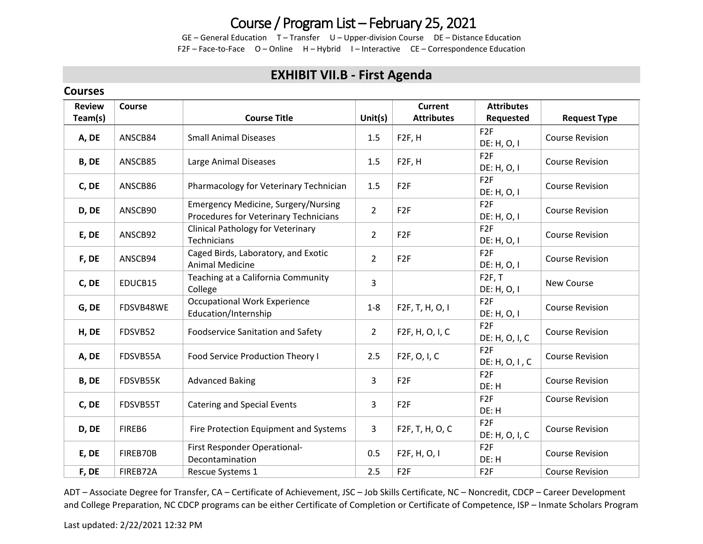## Course / Program List – February 25, 2021

GE – General Education T – Transfer U – Upper-division Course DE – Distance Education F2F – Face-to-Face O – Online H – Hybrid I – Interactive CE – Correspondence Education

#### **EXHIBIT VII.B - First Agenda**

#### **Courses**

| <b>Review</b> | Course    | <b>Course Title</b>                                                                 | Unit $(s)$     | <b>Current</b><br><b>Attributes</b> | <b>Attributes</b>                 |                        |
|---------------|-----------|-------------------------------------------------------------------------------------|----------------|-------------------------------------|-----------------------------------|------------------------|
| Team(s)       |           |                                                                                     |                |                                     | Requested                         | <b>Request Type</b>    |
| A, DE         | ANSCB84   | <b>Small Animal Diseases</b>                                                        | 1.5            | F <sub>2F</sub> , H                 | F <sub>2F</sub><br>DE: H, O, I    | <b>Course Revision</b> |
| B, DE         | ANSCB85   | Large Animal Diseases                                                               | 1.5            | F <sub>2F</sub> , H                 | F <sub>2F</sub><br>DE: H, O, I    | <b>Course Revision</b> |
| C, DE         | ANSCB86   | Pharmacology for Veterinary Technician                                              | 1.5            | F <sub>2F</sub>                     | F <sub>2F</sub><br>DE: H, O, I    | <b>Course Revision</b> |
| D, DE         | ANSCB90   | <b>Emergency Medicine, Surgery/Nursing</b><br>Procedures for Veterinary Technicians | $\overline{2}$ | F <sub>2F</sub>                     | F <sub>2F</sub><br>DE: H, O, I    | <b>Course Revision</b> |
| E, DE         | ANSCB92   | <b>Clinical Pathology for Veterinary</b><br>Technicians                             | $\overline{2}$ | F <sub>2F</sub>                     | F <sub>2F</sub><br>DE: H, O, I    | <b>Course Revision</b> |
| F, DE         | ANSCB94   | Caged Birds, Laboratory, and Exotic<br><b>Animal Medicine</b>                       | $\overline{2}$ | F <sub>2F</sub>                     | F <sub>2F</sub><br>DE: H, O, I    | <b>Course Revision</b> |
| C, DE         | EDUCB15   | Teaching at a California Community<br>College                                       | 3              |                                     | F2F, T<br>DE: H, O, I             | New Course             |
| G, DE         | FDSVB48WE | <b>Occupational Work Experience</b><br>Education/Internship                         | $1 - 8$        | F2F, T, H, O, I                     | F <sub>2F</sub><br>DE: H, O, I    | <b>Course Revision</b> |
| H, DE         | FDSVB52   | <b>Foodservice Sanitation and Safety</b>                                            | $\overline{2}$ | F2F, H, O, I, C                     | F <sub>2F</sub><br>DE: H, O, I, C | <b>Course Revision</b> |
| A, DE         | FDSVB55A  | Food Service Production Theory I                                                    | 2.5            | F2F, O, I, C                        | F <sub>2F</sub><br>DE: H, O, I, C | <b>Course Revision</b> |
| B, DE         | FDSVB55K  | <b>Advanced Baking</b>                                                              | 3              | F <sub>2F</sub>                     | F <sub>2F</sub><br>DE: H          | <b>Course Revision</b> |
| C, DE         | FDSVB55T  | <b>Catering and Special Events</b>                                                  | 3              | F <sub>2F</sub>                     | F <sub>2F</sub><br>DE: H          | <b>Course Revision</b> |
| D, DE         | FIREB6    | Fire Protection Equipment and Systems                                               | 3              | F2F, T, H, O, C                     | F <sub>2F</sub><br>DE: H, O, I, C | <b>Course Revision</b> |
| E, DE         | FIREB70B  | First Responder Operational-<br>Decontamination                                     | 0.5            | F <sub>2</sub> F, H, O, I           | F <sub>2F</sub><br>DE: H          | <b>Course Revision</b> |
| F, DE         | FIREB72A  | Rescue Systems 1                                                                    | 2.5            | F <sub>2F</sub>                     | F <sub>2F</sub>                   | <b>Course Revision</b> |

ADT – Associate Degree for Transfer, CA – Certificate of Achievement, JSC – Job Skills Certificate, NC – Noncredit, CDCP – Career Development and College Preparation, NC CDCP programs can be either Certificate of Completion or Certificate of Competence, ISP – Inmate Scholars Program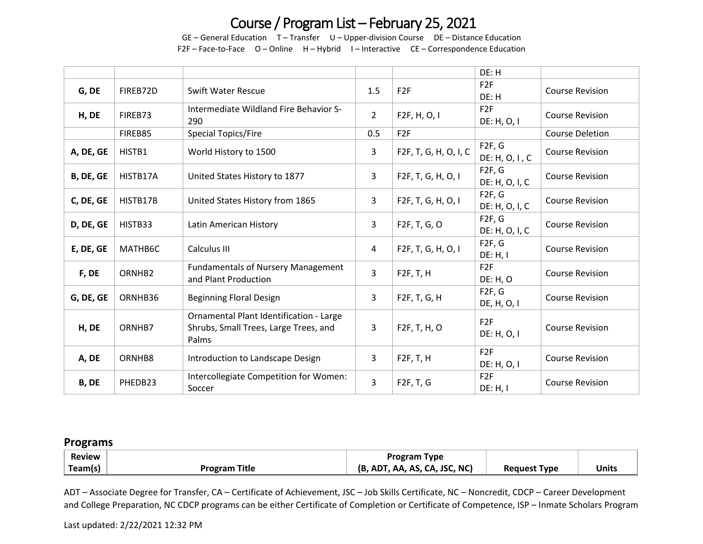# Course / Program List – February 25, 2021

GE – General Education T – Transfer U – Upper-division Course DE – Distance Education F2F – Face-to-Face O – Online H – Hybrid I – Interactive CE – Correspondence Education

|           |          |                                                                                           |                |                           | DE: H                          |                        |  |
|-----------|----------|-------------------------------------------------------------------------------------------|----------------|---------------------------|--------------------------------|------------------------|--|
| G, DE     | FIREB72D | <b>Swift Water Rescue</b>                                                                 | 1.5            | F <sub>2F</sub>           | F <sub>2F</sub><br>DE: H       | <b>Course Revision</b> |  |
| H, DE     | FIREB73  | Intermediate Wildland Fire Behavior S-<br>290                                             | $\overline{2}$ | F2F, H, O, I              | F <sub>2F</sub><br>DE: H, O, I | <b>Course Revision</b> |  |
|           | FIREB85  | Special Topics/Fire                                                                       | 0.5            | F <sub>2F</sub>           |                                | <b>Course Deletion</b> |  |
| A, DE, GE | HISTB1   | World History to 1500                                                                     | 3              | F2F, T, G, H, O, I, C     | F2F, G<br>DE: H, O, I, C       | <b>Course Revision</b> |  |
| B, DE, GE | HISTB17A | United States History to 1877                                                             | $\mathbf{3}$   | F2F, T, G, H, O, I        | F2F, G<br>DE: H, O, I, C       | <b>Course Revision</b> |  |
| C, DE, GE | HISTB17B | United States History from 1865                                                           | $\mathbf{3}$   | F2F, T, G, H, O, I        | F2F, G<br>DE: H, O, I, C       | <b>Course Revision</b> |  |
| D, DE, GE | HISTB33  | Latin American History                                                                    | 3              | F2F, T, G, O              | F2F, G<br>DE: H, O, I, C       | <b>Course Revision</b> |  |
| E, DE, GE | MATHB6C  | Calculus III                                                                              | $\overline{4}$ | F2F, T, G, H, O, I        | F2F, G<br>DE: H, I             | <b>Course Revision</b> |  |
| F, DE     | ORNHB2   | <b>Fundamentals of Nursery Management</b><br>and Plant Production                         | $\overline{3}$ | F2F, T, H                 | F <sub>2F</sub><br>DE: H, O    | <b>Course Revision</b> |  |
| G, DE, GE | ORNHB36  | <b>Beginning Floral Design</b>                                                            | 3              | F2F, T, G, H              | F2F, G<br>DE, H, O, I          | <b>Course Revision</b> |  |
| H, DE     | ORNHB7   | Ornamental Plant Identification - Large<br>Shrubs, Small Trees, Large Trees, and<br>Palms | 3              | F <sub>2</sub> F, T, H, O | F <sub>2F</sub><br>DE: H, O, I | <b>Course Revision</b> |  |
| A, DE     | ORNHB8   | Introduction to Landscape Design                                                          | $\overline{3}$ | F2F, T, H                 | F <sub>2F</sub><br>DE: H, O, I | <b>Course Revision</b> |  |
| B, DE     | PHEDB23  | Intercollegiate Competition for Women:<br>Soccer                                          | $\overline{3}$ | F2F, T, G                 | F <sub>2F</sub><br>DE: H, I    | <b>Course Revision</b> |  |

#### **Programs**

| <b>Review</b> |                      | <b>Program Type</b>           |                     |              |
|---------------|----------------------|-------------------------------|---------------------|--------------|
| Team(s)       | <b>Program Title</b> | (B, ADT, AA, AS, CA, JSC, NC) | <b>Request Type</b> | <b>Units</b> |

ADT – Associate Degree for Transfer, CA – Certificate of Achievement, JSC – Job Skills Certificate, NC – Noncredit, CDCP – Career Development and College Preparation, NC CDCP programs can be either Certificate of Completion or Certificate of Competence, ISP – Inmate Scholars Program